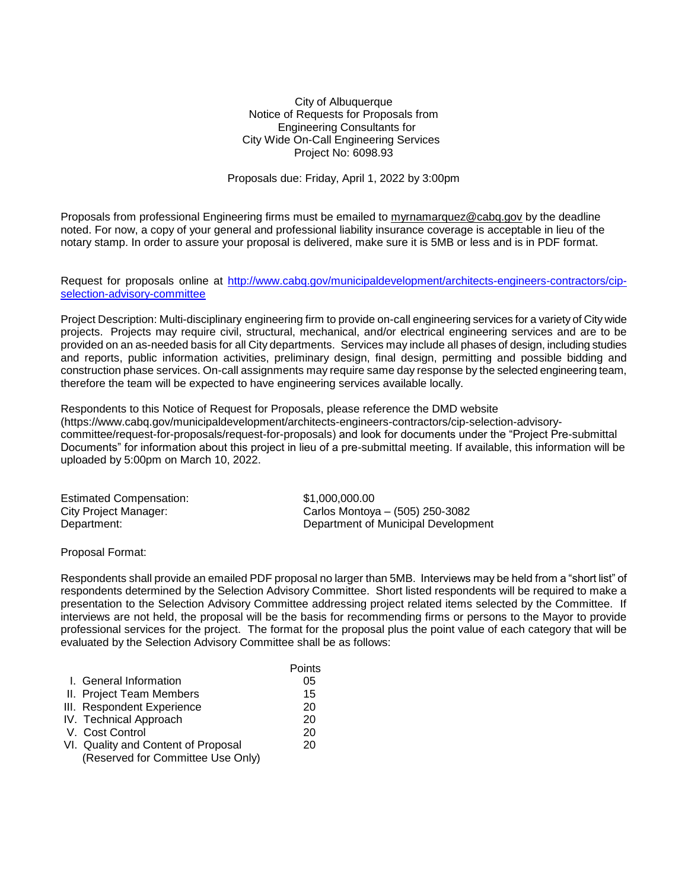City of Albuquerque Notice of Requests for Proposals from Engineering Consultants for City Wide On-Call Engineering Services Project No: 6098.93

Proposals due: Friday, April 1, 2022 by 3:00pm

Proposals from professional Engineering firms must be emailed to [myrnamarquez@cabq.gov](mailto:myrnamarquez@cabq.gov) by the deadline noted. For now, a copy of your general and professional liability insurance coverage is acceptable in lieu of the notary stamp. In order to assure your proposal is delivered, make sure it is 5MB or less and is in PDF format.

Request for proposals online at [http://www.cabq.gov/municipaldevelopment/architects-engineers-contractors/cip](http://www.cabq.gov/municipaldevelopment/architects-engineers-contractors/cip-selection-advisory-committee)[selection-advisory-committee](http://www.cabq.gov/municipaldevelopment/architects-engineers-contractors/cip-selection-advisory-committee)

Project Description: Multi-disciplinary engineering firm to provide on-call engineering services for a variety of City wide projects. Projects may require civil, structural, mechanical, and/or electrical engineering services and are to be provided on an as-needed basis for all City departments. Services may include all phases of design, including studies and reports, public information activities, preliminary design, final design, permitting and possible bidding and construction phase services. On-call assignments may require same day response by the selected engineering team, therefore the team will be expected to have engineering services available locally.

Respondents to this Notice of Request for Proposals, please reference the DMD website [\(https://www.cabq.gov/municipaldevelopment/architects-engineers-contractors/cip-selection-advisory](https://www.cabq.gov/municipaldevelopment/architects-engineers-contractors/cip-selection-advisory-committee/request-for-proposals/request-for-proposals)[committee/request-for-proposals/request-for-proposals\)](https://www.cabq.gov/municipaldevelopment/architects-engineers-contractors/cip-selection-advisory-committee/request-for-proposals/request-for-proposals) and look for documents under the "Project Pre-submittal Documents" for information about this project in lieu of a pre-submittal meeting. If available, this information will be uploaded by 5:00pm on March 10, 2022.

| <b>Estimated Compensation:</b> | \$1.000.000.00                      |
|--------------------------------|-------------------------------------|
| City Project Manager:          | Carlos Montoya – (505) 250-3082     |
| Department:                    | Department of Municipal Development |

Proposal Format:

Respondents shall provide an emailed PDF proposal no larger than 5MB. Interviews may be held from a "short list" of respondents determined by the Selection Advisory Committee. Short listed respondents will be required to make a presentation to the Selection Advisory Committee addressing project related items selected by the Committee. If interviews are not held, the proposal will be the basis for recommending firms or persons to the Mayor to provide professional services for the project. The format for the proposal plus the point value of each category that will be evaluated by the Selection Advisory Committee shall be as follows:

|                                     | Points |
|-------------------------------------|--------|
| I. General Information              | 05     |
| II. Project Team Members            | 15     |
| III. Respondent Experience          | 20     |
| IV. Technical Approach              | 20     |
| V. Cost Control                     | 20     |
| VI. Quality and Content of Proposal | 20     |
| (Reserved for Committee Use Only)   |        |